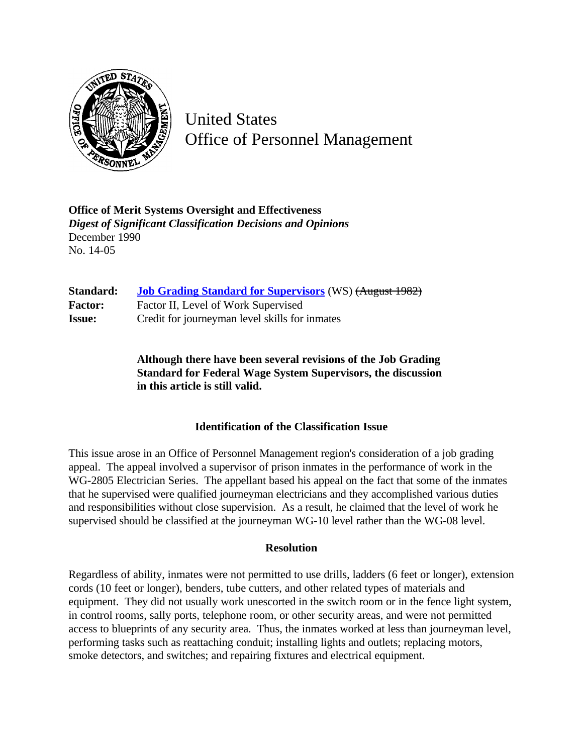

United States Office of Personnel Management

**Office of Merit Systems Oversight and Effectiveness** *Digest of Significant Classification Decisions and Opinions* December 1990 No. 14-05

| Standard:      | <b>Job Grading Standard for Supervisors</b> (WS) (August 1982) |
|----------------|----------------------------------------------------------------|
| <b>Factor:</b> | Factor II, Level of Work Supervised                            |
| <b>Issue:</b>  | Credit for journeyman level skills for inmates                 |

**Although there have been several revisions of the Job Grading Standard for Federal Wage System Supervisors, the discussion in this article is still valid.**

## **Identification of the Classification Issue**

This issue arose in an Office of Personnel Management region's consideration of a job grading appeal. The appeal involved a supervisor of prison inmates in the performance of work in the WG-2805 Electrician Series. The appellant based his appeal on the fact that some of the inmates that he supervised were qualified journeyman electricians and they accomplished various duties and responsibilities without close supervision. As a result, he claimed that the level of work he supervised should be classified at the journeyman WG-10 level rather than the WG-08 level.

## **Resolution**

Regardless of ability, inmates were not permitted to use drills, ladders (6 feet or longer), extension cords (10 feet or longer), benders, tube cutters, and other related types of materials and equipment. They did not usually work unescorted in the switch room or in the fence light system, in control rooms, sally ports, telephone room, or other security areas, and were not permitted access to blueprints of any security area. Thus, the inmates worked at less than journeyman level, performing tasks such as reattaching conduit; installing lights and outlets; replacing motors, smoke detectors, and switches; and repairing fixtures and electrical equipment.